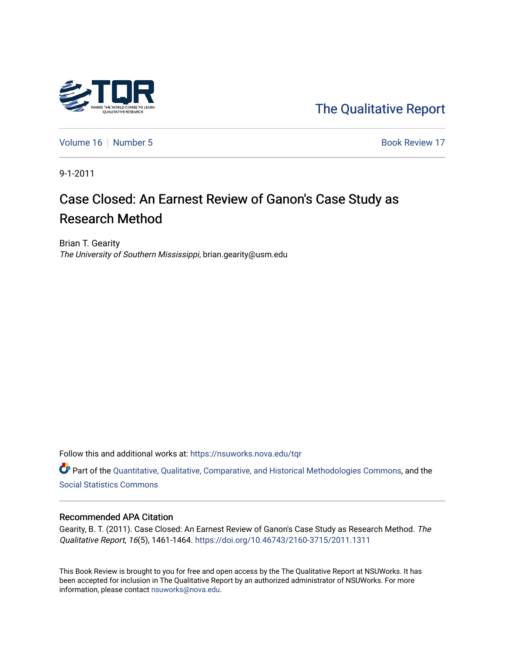

[The Qualitative Report](https://nsuworks.nova.edu/tqr) 

[Volume 16](https://nsuworks.nova.edu/tqr/vol16) [Number 5](https://nsuworks.nova.edu/tqr/vol16/iss5) Book Review 17

9-1-2011

# Case Closed: An Earnest Review of Ganon's Case Study as Research Method

Brian T. Gearity The University of Southern Mississippi, brian.gearity@usm.edu

Follow this and additional works at: [https://nsuworks.nova.edu/tqr](https://nsuworks.nova.edu/tqr?utm_source=nsuworks.nova.edu%2Ftqr%2Fvol16%2Fiss5%2F17&utm_medium=PDF&utm_campaign=PDFCoverPages) 

Part of the [Quantitative, Qualitative, Comparative, and Historical Methodologies Commons,](http://network.bepress.com/hgg/discipline/423?utm_source=nsuworks.nova.edu%2Ftqr%2Fvol16%2Fiss5%2F17&utm_medium=PDF&utm_campaign=PDFCoverPages) and the [Social Statistics Commons](http://network.bepress.com/hgg/discipline/1275?utm_source=nsuworks.nova.edu%2Ftqr%2Fvol16%2Fiss5%2F17&utm_medium=PDF&utm_campaign=PDFCoverPages) 

#### Recommended APA Citation

Gearity, B. T. (2011). Case Closed: An Earnest Review of Ganon's Case Study as Research Method. The Qualitative Report, 16(5), 1461-1464. <https://doi.org/10.46743/2160-3715/2011.1311>

This Book Review is brought to you for free and open access by the The Qualitative Report at NSUWorks. It has been accepted for inclusion in The Qualitative Report by an authorized administrator of NSUWorks. For more information, please contact [nsuworks@nova.edu.](mailto:nsuworks@nova.edu)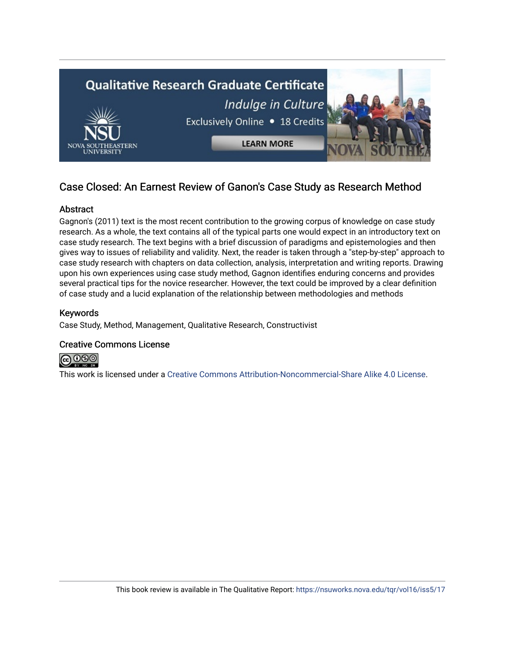

# Case Closed: An Earnest Review of Ganon's Case Study as Research Method

# **Abstract**

Gagnon's (2011) text is the most recent contribution to the growing corpus of knowledge on case study research. As a whole, the text contains all of the typical parts one would expect in an introductory text on case study research. The text begins with a brief discussion of paradigms and epistemologies and then gives way to issues of reliability and validity. Next, the reader is taken through a "step-by-step" approach to case study research with chapters on data collection, analysis, interpretation and writing reports. Drawing upon his own experiences using case study method, Gagnon identifies enduring concerns and provides several practical tips for the novice researcher. However, the text could be improved by a clear definition of case study and a lucid explanation of the relationship between methodologies and methods

# Keywords

Case Study, Method, Management, Qualitative Research, Constructivist

### Creative Commons License



This work is licensed under a [Creative Commons Attribution-Noncommercial-Share Alike 4.0 License](https://creativecommons.org/licenses/by-nc-sa/4.0/).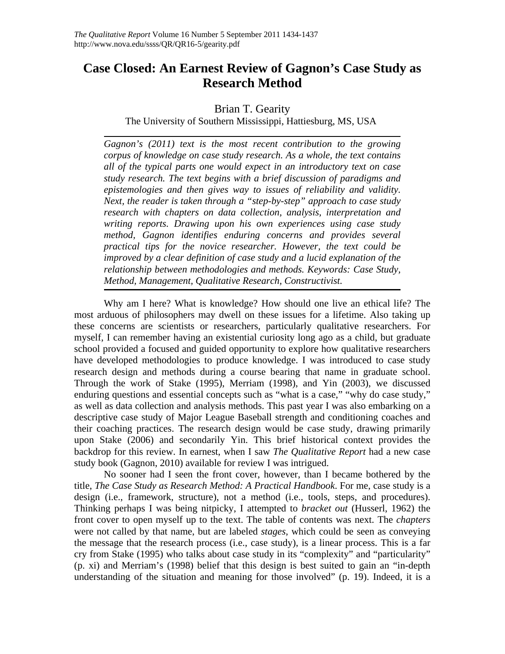# **Case Closed: An Earnest Review of Gagnon's Case Study as Research Method**

# Brian T. Gearity

The University of Southern Mississippi, Hattiesburg, MS, USA

*Gagnon's (2011) text is the most recent contribution to the growing corpus of knowledge on case study research. As a whole, the text contains all of the typical parts one would expect in an introductory text on case study research. The text begins with a brief discussion of paradigms and epistemologies and then gives way to issues of reliability and validity. Next, the reader is taken through a "step-by-step" approach to case study research with chapters on data collection, analysis, interpretation and writing reports. Drawing upon his own experiences using case study method, Gagnon identifies enduring concerns and provides several practical tips for the novice researcher. However, the text could be improved by a clear definition of case study and a lucid explanation of the relationship between methodologies and methods. Keywords: Case Study, Method, Management, Qualitative Research, Constructivist.* 

Why am I here? What is knowledge? How should one live an ethical life? The most arduous of philosophers may dwell on these issues for a lifetime. Also taking up these concerns are scientists or researchers, particularly qualitative researchers. For myself, I can remember having an existential curiosity long ago as a child, but graduate school provided a focused and guided opportunity to explore how qualitative researchers have developed methodologies to produce knowledge. I was introduced to case study research design and methods during a course bearing that name in graduate school. Through the work of Stake (1995), Merriam (1998), and Yin (2003), we discussed enduring questions and essential concepts such as "what is a case," "why do case study," as well as data collection and analysis methods. This past year I was also embarking on a descriptive case study of Major League Baseball strength and conditioning coaches and their coaching practices. The research design would be case study, drawing primarily upon Stake (2006) and secondarily Yin. This brief historical context provides the backdrop for this review. In earnest, when I saw *The Qualitative Report* had a new case study book (Gagnon, 2010) available for review I was intrigued.

No sooner had I seen the front cover, however, than I became bothered by the title, *The Case Study as Research Method: A Practical Handbook*. For me, case study is a design (i.e., framework, structure), not a method (i.e., tools, steps, and procedures). Thinking perhaps I was being nitpicky, I attempted to *bracket out* (Husserl, 1962) the front cover to open myself up to the text. The table of contents was next. The *chapters* were not called by that name, but are labeled *stages*, which could be seen as conveying the message that the research process (i.e., case study), is a linear process. This is a far cry from Stake (1995) who talks about case study in its "complexity" and "particularity" (p. xi) and Merriam's (1998) belief that this design is best suited to gain an "in-depth understanding of the situation and meaning for those involved" (p. 19). Indeed, it is a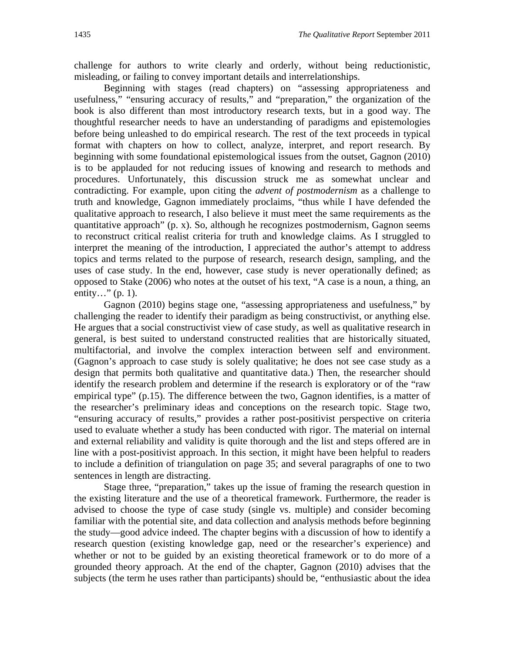challenge for authors to write clearly and orderly, without being reductionistic, misleading, or failing to convey important details and interrelationships.

Beginning with stages (read chapters) on "assessing appropriateness and usefulness," "ensuring accuracy of results," and "preparation," the organization of the book is also different than most introductory research texts, but in a good way. The thoughtful researcher needs to have an understanding of paradigms and epistemologies before being unleashed to do empirical research. The rest of the text proceeds in typical format with chapters on how to collect, analyze, interpret, and report research. By beginning with some foundational epistemological issues from the outset, Gagnon (2010) is to be applauded for not reducing issues of knowing and research to methods and procedures. Unfortunately, this discussion struck me as somewhat unclear and contradicting. For example, upon citing the *advent of postmodernism* as a challenge to truth and knowledge, Gagnon immediately proclaims, "thus while I have defended the qualitative approach to research, I also believe it must meet the same requirements as the quantitative approach" (p. x). So, although he recognizes postmodernism, Gagnon seems to reconstruct critical realist criteria for truth and knowledge claims. As I struggled to interpret the meaning of the introduction, I appreciated the author's attempt to address topics and terms related to the purpose of research, research design, sampling, and the uses of case study. In the end, however, case study is never operationally defined; as opposed to Stake (2006) who notes at the outset of his text, "A case is a noun, a thing, an entity..."  $(p. 1)$ .

Gagnon (2010) begins stage one, "assessing appropriateness and usefulness," by challenging the reader to identify their paradigm as being constructivist, or anything else. He argues that a social constructivist view of case study, as well as qualitative research in general, is best suited to understand constructed realities that are historically situated, multifactorial, and involve the complex interaction between self and environment. (Gagnon's approach to case study is solely qualitative; he does not see case study as a design that permits both qualitative and quantitative data.) Then, the researcher should identify the research problem and determine if the research is exploratory or of the "raw empirical type" (p.15). The difference between the two, Gagnon identifies, is a matter of the researcher's preliminary ideas and conceptions on the research topic. Stage two, "ensuring accuracy of results," provides a rather post-positivist perspective on criteria used to evaluate whether a study has been conducted with rigor. The material on internal and external reliability and validity is quite thorough and the list and steps offered are in line with a post-positivist approach. In this section, it might have been helpful to readers to include a definition of triangulation on page 35; and several paragraphs of one to two sentences in length are distracting.

 Stage three, "preparation," takes up the issue of framing the research question in the existing literature and the use of a theoretical framework. Furthermore, the reader is advised to choose the type of case study (single vs. multiple) and consider becoming familiar with the potential site, and data collection and analysis methods before beginning the study—good advice indeed. The chapter begins with a discussion of how to identify a research question (existing knowledge gap, need or the researcher's experience) and whether or not to be guided by an existing theoretical framework or to do more of a grounded theory approach. At the end of the chapter, Gagnon (2010) advises that the subjects (the term he uses rather than participants) should be, "enthusiastic about the idea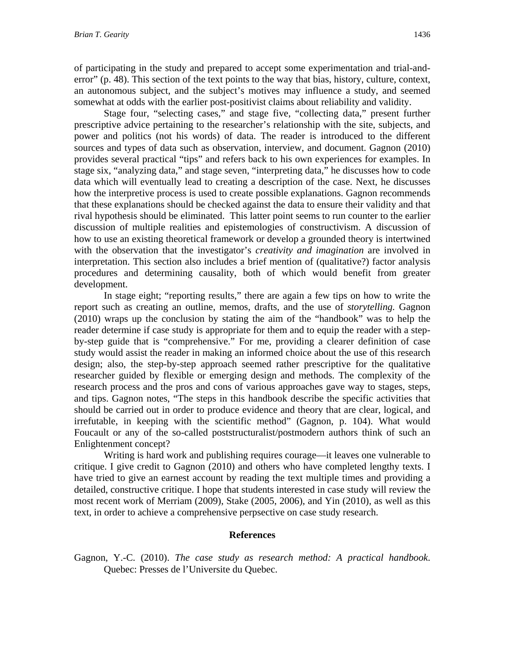of participating in the study and prepared to accept some experimentation and trial-anderror" (p. 48). This section of the text points to the way that bias, history, culture, context, an autonomous subject, and the subject's motives may influence a study, and seemed somewhat at odds with the earlier post-positivist claims about reliability and validity.

 Stage four, "selecting cases," and stage five, "collecting data," present further prescriptive advice pertaining to the researcher's relationship with the site, subjects, and power and politics (not his words) of data. The reader is introduced to the different sources and types of data such as observation, interview, and document. Gagnon (2010) provides several practical "tips" and refers back to his own experiences for examples. In stage six, "analyzing data," and stage seven, "interpreting data," he discusses how to code data which will eventually lead to creating a description of the case. Next, he discusses how the interpretive process is used to create possible explanations. Gagnon recommends that these explanations should be checked against the data to ensure their validity and that rival hypothesis should be eliminated. This latter point seems to run counter to the earlier discussion of multiple realities and epistemologies of constructivism. A discussion of how to use an existing theoretical framework or develop a grounded theory is intertwined with the observation that the investigator's *creativity and imagination* are involved in interpretation. This section also includes a brief mention of (qualitative?) factor analysis procedures and determining causality, both of which would benefit from greater development.

 In stage eight; "reporting results," there are again a few tips on how to write the report such as creating an outline, memos, drafts, and the use of *storytelling.* Gagnon (2010) wraps up the conclusion by stating the aim of the "handbook" was to help the reader determine if case study is appropriate for them and to equip the reader with a stepby-step guide that is "comprehensive." For me, providing a clearer definition of case study would assist the reader in making an informed choice about the use of this research design; also, the step-by-step approach seemed rather prescriptive for the qualitative researcher guided by flexible or emerging design and methods. The complexity of the research process and the pros and cons of various approaches gave way to stages, steps, and tips. Gagnon notes, "The steps in this handbook describe the specific activities that should be carried out in order to produce evidence and theory that are clear, logical, and irrefutable, in keeping with the scientific method" (Gagnon, p. 104). What would Foucault or any of the so-called poststructuralist/postmodern authors think of such an Enlightenment concept?

 Writing is hard work and publishing requires courage—it leaves one vulnerable to critique. I give credit to Gagnon (2010) and others who have completed lengthy texts. I have tried to give an earnest account by reading the text multiple times and providing a detailed, constructive critique. I hope that students interested in case study will review the most recent work of Merriam (2009), Stake (2005, 2006), and Yin (2010), as well as this text, in order to achieve a comprehensive perpsective on case study research.

#### **References**

Gagnon, Y.-C. (2010). *The case study as research method: A practical handbook*. Quebec: Presses de l'Universite du Quebec.